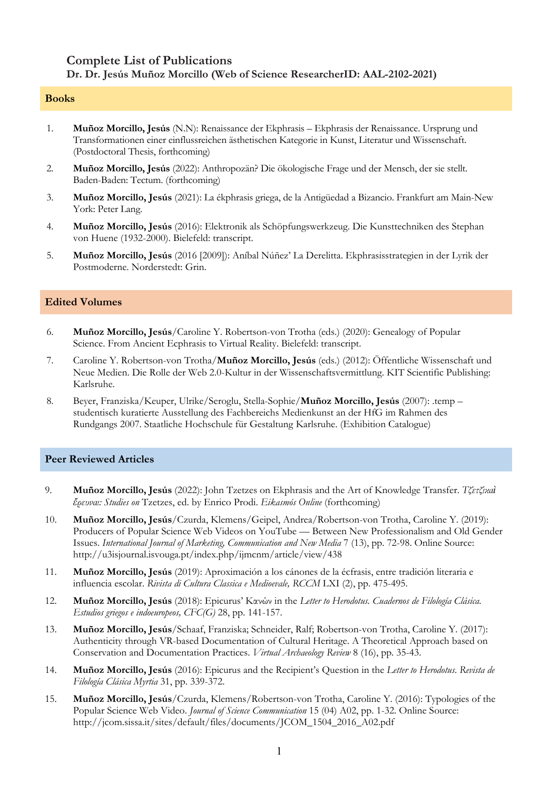# **Complete List of Publications Dr. Dr. Jesús Muñoz Morcillo (Web of Science ResearcherID: AAL-2102-2021)**

#### **Books**

- 1. **Muñoz Morcillo, Jesús** (N.N): Renaissance der Ekphrasis Ekphrasis der Renaissance. Ursprung und Transformationen einer einflussreichen ästhetischen Kategorie in Kunst, Literatur und Wissenschaft. (Postdoctoral Thesis, forthcoming)
- 2. **Muñoz Morcillo, Jesús** (2022): Anthropozän? Die ökologische Frage und der Mensch, der sie stellt. Baden-Baden: Tectum. (forthcoming)
- 3. **Muñoz Morcillo, Jesús** (2021): La ékphrasis griega, de la Antigüedad a Bizancio. Frankfurt am Main-New York: Peter Lang.
- 4. **Muñoz Morcillo, Jesús** (2016): Elektronik als Schöpfungswerkzeug. Die Kunsttechniken des Stephan von Huene (1932-2000). Bielefeld: transcript.
- 5. **Muñoz Morcillo, Jesús** (2016 [2009]): Aníbal Núñez' La Derelitta. Ekphrasisstrategien in der Lyrik der Postmoderne. Norderstedt: Grin.

## **Edited Volumes**

- 6. **Muñoz Morcillo, Jesús**/Caroline Y. Robertson-von Trotha (eds.) (2020): Genealogy of Popular Science. From Ancient Ecphrasis to Virtual Reality. Bielefeld: transcript.
- 7. Caroline Y. Robertson-von Trotha/**Muñoz Morcillo, Jesús** (eds.) (2012): Öffentliche Wissenschaft und Neue Medien. Die Rolle der Web 2.0-Kultur in der Wissenschaftsvermittlung. KIT Scientific Publishing: Karlsruhe.
- 8. Beyer, Franziska/Keuper, Ulrike/Seroglu, Stella-Sophie/**Muñoz Morcillo, Jesús** (2007): .temp studentisch kuratierte Ausstellung des Fachbereichs Medienkunst an der HfG im Rahmen des Rundgangs 2007. Staatliche Hochschule für Gestaltung Karlsruhe. (Exhibition Catalogue)

#### **Peer Reviewed Articles**

- 9. **Muñoz Morcillo, Jesús** (2022): John Tzetzes on Ekphrasis and the Art of Knowledge Transfer. *Τζετζικαὶ ἔρευναι: Studies on* Tzetzes, ed. by Enrico Prodi. *Eikasmós Online* (forthcoming)
- 10. **Muñoz Morcillo, Jesús**/Czurda, Klemens/Geipel, Andrea/Robertson-von Trotha, Caroline Y. (2019): Producers of Popular Science Web Videos on YouTube — Between New Professionalism and Old Gender Issues. *International Journal of Marketing, Communication and New Media* 7 (13), pp. 72-98. Online Source: http://u3isjournal.isvouga.pt/index.php/ijmcnm/article/view/438
- 11. **Muñoz Morcillo, Jesús** (2019): Aproximación a los cánones de la écfrasis, entre tradición literaria e influencia escolar. *Rivista di Cultura Classica e Medioevale, RCCM* LXI (2), pp. 475-495.
- 12. **Muñoz Morcillo, Jesús** (2018): Epicurus' Κανών in the *Letter to Herodotus. Cuadernos de Filología Clásica. Estudios griegos e indoeuropeos, CFC(G)* 28, pp. 141-157.
- 13. **Muñoz Morcillo, Jesús**/Schaaf, Franziska; Schneider, Ralf; Robertson-von Trotha, Caroline Y. (2017): Authenticity through VR-based Documentation of Cultural Heritage. A Theoretical Approach based on Conservation and Documentation Practices. *Virtual Archaeology Review* 8 (16), pp. 35-43.
- 14. **Muñoz Morcillo, Jesús** (2016): Epicurus and the Recipient's Question in the *Letter to Herodotus*. *Revista de Filología Clásica Myrtia* 31, pp. 339-372.
- 15. **Muñoz Morcillo, Jesús**/Czurda, Klemens/Robertson-von Trotha, Caroline Y. (2016): Typologies of the Popular Science Web Video. *Journal of Science Communication* 15 (04) A02, pp. 1-32. Online Source: http://jcom.sissa.it/sites/default/files/documents/JCOM\_1504\_2016\_A02.pdf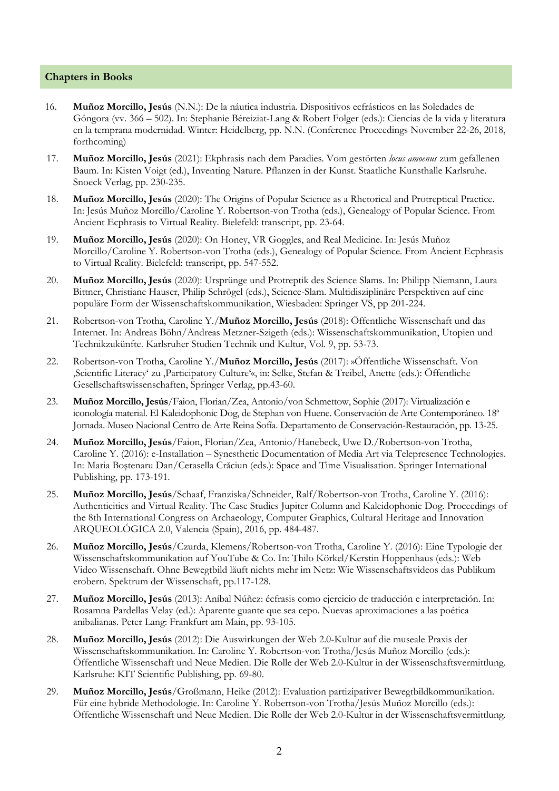## **Chapters in Books**

- 16. **Muñoz Morcillo, Jesús** (N.N.): De la náutica industria. Dispositivos ecfrásticos en las Soledades de Góngora (vv. 366 – 502). In: Stephanie Béreiziat-Lang & Robert Folger (eds.): Ciencias de la vida y literatura en la temprana modernidad. Winter: Heidelberg, pp. N.N. (Conference Proceedings November 22-26, 2018, forthcoming)
- 17. **Muñoz Morcillo, Jesús** (2021): Ekphrasis nach dem Paradies. Vom gestörten *locus amoenus* zum gefallenen Baum. In: Kisten Voigt (ed.), Inventing Nature. Pflanzen in der Kunst. Staatliche Kunsthalle Karlsruhe. Snoeck Verlag, pp. 230-235.
- 18. **Muñoz Morcillo, Jesús** (2020): The Origins of Popular Science as a Rhetorical and Protreptical Practice. In: Jesús Muñoz Morcillo/Caroline Y. Robertson-von Trotha (eds.), Genealogy of Popular Science. From Ancient Ecphrasis to Virtual Reality. Bielefeld: transcript, pp. 23-64.
- 19. **Muñoz Morcillo, Jesús** (2020): On Honey, VR Goggles, and Real Medicine. In: Jesús Muñoz Morcillo/Caroline Y. Robertson-von Trotha (eds.), Genealogy of Popular Science. From Ancient Ecphrasis to Virtual Reality. Bielefeld: transcript, pp. 547-552.
- 20. **Muñoz Morcillo, Jesús** (2020): Ursprünge und Protreptik des Science Slams. In: Philipp Niemann, Laura Bittner, Christiane Hauser, Philip Schrögel (eds.), Science-Slam. Multidisziplinäre Perspektiven auf eine populäre Form der Wissenschaftskommunikation, Wiesbaden: Springer VS, pp 201-224.
- 21. Robertson-von Trotha, Caroline Y./**Muñoz Morcillo, Jesús** (2018): Öffentliche Wissenschaft und das Internet. In: Andreas Böhn/Andreas Metzner-Szigeth (eds.): Wissenschaftskommunikation, Utopien und Technikzukünfte. Karlsruher Studien Technik und Kultur, Vol. 9, pp. 53-73.
- 22. Robertson-von Trotha, Caroline Y./**Muñoz Morcillo, Jesús** (2017): »Öffentliche Wissenschaft. Von 'Scientific Literacy' zu 'Participatory Culture'«, in: Selke, Stefan & Treibel, Anette (eds.): Öffentliche Gesellschaftswissenschaften, Springer Verlag, pp.43-60.
- 23. **Muñoz Morcillo, Jesús**/Faion, Florian/Zea, Antonio/von Schmettow, Sophie (2017): Virtualización e iconología material. El Kaleidophonic Dog, de Stephan von Huene. Conservación de Arte Contemporáneo. 18ª Jornada. Museo Nacional Centro de Arte Reina Sofía. Departamento de Conservación-Restauración, pp. 13-25.
- 24. **Muñoz Morcillo, Jesús**/Faion, Florian/Zea, Antonio/Hanebeck, Uwe D./Robertson-von Trotha, Caroline Y. (2016): e-Installation – Synesthetic Documentation of Media Art via Telepresence Technologies. In: Maria Boştenaru Dan/Cerasella Crăciun (eds.): Space and Time Visualisation. Springer International Publishing, pp. 173-191.
- 25. **Muñoz Morcillo, Jesús**/Schaaf, Franziska/Schneider, Ralf/Robertson-von Trotha, Caroline Y. (2016): Authenticities and Virtual Reality. The Case Studies Jupiter Column and Kaleidophonic Dog. Proceedings of the 8th International Congress on Archaeology, Computer Graphics, Cultural Heritage and Innovation ARQUEOLÓGICA 2.0, Valencia (Spain), 2016, pp. 484-487.
- 26. **Muñoz Morcillo, Jesús**/Czurda, Klemens/Robertson-von Trotha, Caroline Y. (2016): Eine Typologie der Wissenschaftskommunikation auf YouTube & Co. In: Thilo Körkel/Kerstin Hoppenhaus (eds.): Web Video Wissenschaft. Ohne Bewegtbild läuft nichts mehr im Netz: Wie Wissenschaftsvideos das Publikum erobern. Spektrum der Wissenschaft, pp.117-128.
- 27. **Muñoz Morcillo, Jesús** (2013): Aníbal Núñez: écfrasis como ejercicio de traducción e interpretación. In: Rosamna Pardellas Velay (ed.): Aparente guante que sea cepo. Nuevas aproximaciones a las poética anibalianas. Peter Lang: Frankfurt am Main, pp. 93-105.
- 28. **Muñoz Morcillo, Jesús** (2012): Die Auswirkungen der Web 2.0-Kultur auf die museale Praxis der Wissenschaftskommunikation. In: Caroline Y. Robertson-von Trotha/Jesús Muñoz Morcillo (eds.): Öffentliche Wissenschaft und Neue Medien. Die Rolle der Web 2.0-Kultur in der Wissenschaftsvermittlung. Karlsruhe: KIT Scientific Publishing, pp. 69-80.
- 29. **Muñoz Morcillo, Jesús**/Großmann, Heike (2012): Evaluation partizipativer Bewegtbildkommunikation. Für eine hybride Methodologie. In: Caroline Y. Robertson-von Trotha/Jesús Muñoz Morcillo (eds.): Öffentliche Wissenschaft und Neue Medien. Die Rolle der Web 2.0-Kultur in der Wissenschaftsvermittlung.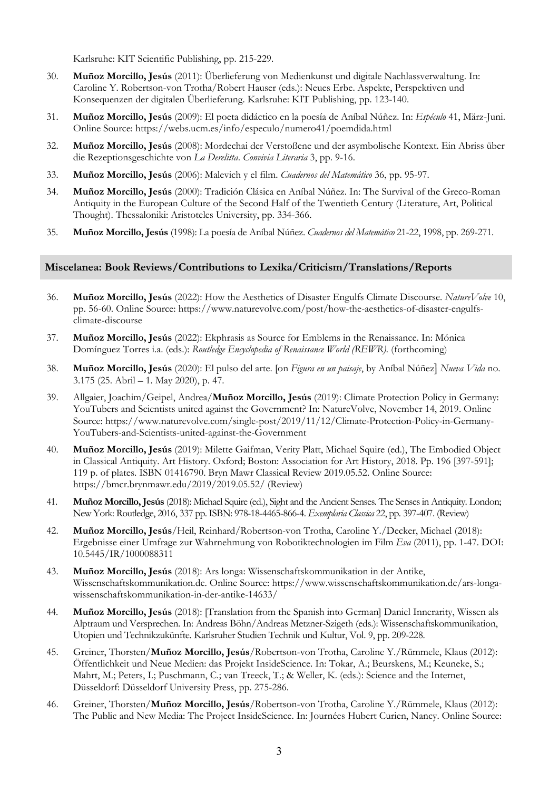Karlsruhe: KIT Scientific Publishing, pp. 215-229.

- 30. **Muñoz Morcillo, Jesús** (2011): Überlieferung von Medienkunst und digitale Nachlassverwaltung. In: Caroline Y. Robertson-von Trotha/Robert Hauser (eds.): Neues Erbe. Aspekte, Perspektiven und Konsequenzen der digitalen Überlieferung. Karlsruhe: KIT Publishing, pp. 123-140.
- 31. **Muñoz Morcillo, Jesús** (2009): El poeta didáctico en la poesía de Aníbal Núñez. In: *Espéculo* 41, März-Juni. Online Source: https://webs.ucm.es/info/especulo/numero41/poemdida.html
- 32. **Muñoz Morcillo, Jesús** (2008): Mordechai der Verstoßene und der asymbolische Kontext. Ein Abriss über die Rezeptionsgeschichte von *La Derelitta*. *Convivia Literaria* 3, pp. 9-16.
- 33. **Muñoz Morcillo, Jesús** (2006): Malevich y el film. *Cuadernos del Matemático* 36, pp. 95-97.
- 34. **Muñoz Morcillo, Jesús** (2000): Tradición Clásica en Aníbal Núñez. In: The Survival of the Greco-Roman Antiquity in the European Culture of the Second Half of the Twentieth Century (Literature, Art, Political Thought). Thessaloniki: Aristoteles University, pp. 334-366.
- 35. **Muñoz Morcillo, Jesús** (1998): La poesía de Aníbal Núñez. *Cuadernos del Matemático* 21-22, 1998, pp. 269-271.

#### **Miscelanea: Book Reviews/Contributions to Lexika/Criticism/Translations/Reports**

- 36. **Muñoz Morcillo, Jesús** (2022): How the Aesthetics of Disaster Engulfs Climate Discourse. *NatureVolve* 10, pp. 56-60. Online Source: https://www.naturevolve.com/post/how-the-aesthetics-of-disaster-engulfsclimate-discourse
- 37. **Muñoz Morcillo, Jesús** (2022): Ekphrasis as Source for Emblems in the Renaissance. In: Mónica Domínguez Torres i.a. (eds.): *Routledge Encyclopedia of Renaissance World (REWR).* (forthcoming)
- 38. **Muñoz Morcillo, Jesús** (2020): El pulso del arte. [on *Figura en un paisaje*, by Aníbal Núñez] *Nueva Vida* no. 3.175 (25. Abril – 1. May 2020), p. 47.
- 39. Allgaier, Joachim/Geipel, Andrea/**Muñoz Morcillo, Jesús** (2019): Climate Protection Policy in Germany: YouTubers and Scientists united against the Government? In: NatureVolve, November 14, 2019. Online Source: https://www.naturevolve.com/single-post/2019/11/12/Climate-Protection-Policy-in-Germany-YouTubers-and-Scientists-united-against-the-Government
- 40. **Muñoz Morcillo, Jesús** (2019): Milette Gaifman, Verity Platt, Michael Squire (ed.), The Embodied Object in Classical Antiquity. Art History. Oxford; Boston: Association for Art History, 2018. Pp. 196 [397-591]; 119 p. of plates. ISBN 01416790. Bryn Mawr Classical Review 2019.05.52. Online Source: https://bmcr.brynmawr.edu/2019/2019.05.52/ (Review)
- 41. **Muñoz Morcillo, Jesús** (2018): Michael Squire (ed.), Sight and the Ancient Senses. The Senses in Antiquity. London; New York: Routledge, 2016, 337 pp. ISBN: 978-18-4465-866-4. *Exemplaria Classica* 22, pp. 397-407. (Review)
- 42. **Muñoz Morcillo, Jesús**/Heil, Reinhard/Robertson-von Trotha, Caroline Y./Decker, Michael (2018): Ergebnisse einer Umfrage zur Wahrnehmung von Robotiktechnologien im Film *Eva* (2011), pp. 1-47. DOI: 10.5445/IR/1000088311
- 43. **Muñoz Morcillo, Jesús** (2018): Ars longa: Wissenschaftskommunikation in der Antike, Wissenschaftskommunikation.de. Online Source: https://www.wissenschaftskommunikation.de/ars-longawissenschaftskommunikation-in-der-antike-14633/
- 44. **Muñoz Morcillo, Jesús** (2018): [Translation from the Spanish into German] Daniel Innerarity, Wissen als Alptraum und Versprechen. In: Andreas Böhn/Andreas Metzner-Szigeth (eds.): Wissenschaftskommunikation, Utopien und Technikzukünfte. Karlsruher Studien Technik und Kultur, Vol. 9, pp. 209-228.
- 45. Greiner, Thorsten/**Muñoz Morcillo, Jesús**/Robertson-von Trotha, Caroline Y./Rümmele, Klaus (2012): Öffentlichkeit und Neue Medien: das Projekt InsideScience. In: Tokar, A.; Beurskens, M.; Keuneke, S.; Mahrt, M.; Peters, I.; Puschmann, C.; van Treeck, T.; & Weller, K. (eds.): Science and the Internet, Düsseldorf: Düsseldorf University Press, pp. 275-286.
- 46. Greiner, Thorsten/**Muñoz Morcillo, Jesús**/Robertson-von Trotha, Caroline Y./Rümmele, Klaus (2012): The Public and New Media: The Project InsideScience. In: Journées Hubert Curien, Nancy. Online Source: